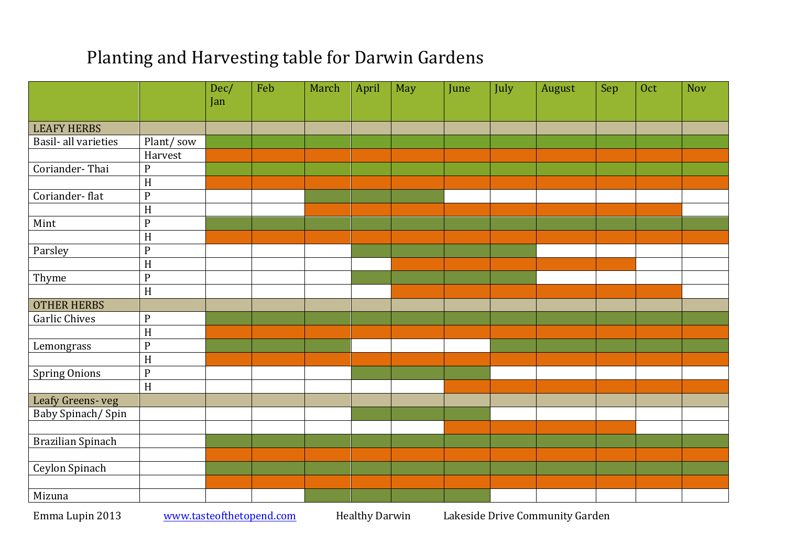## Planting and Harvesting table for Darwin Gardens

|                      |                           | Dec/<br>Jan | Feb | March | April | May | June | July | August | Sep | Oct | <b>Nov</b> |
|----------------------|---------------------------|-------------|-----|-------|-------|-----|------|------|--------|-----|-----|------------|
|                      |                           |             |     |       |       |     |      |      |        |     |     |            |
| <b>LEAFY HERBS</b>   |                           |             |     |       |       |     |      |      |        |     |     |            |
| Basil- all varieties | Plant/sow                 |             |     |       |       |     |      |      |        |     |     |            |
|                      | Harvest                   |             |     |       |       |     |      |      |        |     |     |            |
| Coriander-Thai       | $\mathbf{P}$              |             |     |       |       |     |      |      |        |     |     |            |
|                      | $\overline{H}$            |             |     |       |       |     |      |      |        |     |     |            |
| Coriander-flat       | ${\bf P}$                 |             |     |       |       |     |      |      |        |     |     |            |
|                      | H                         |             |     |       |       |     |      |      |        |     |     |            |
| Mint                 | ${\bf P}$                 |             |     |       |       |     |      |      |        |     |     |            |
|                      | H                         |             |     |       |       |     |      |      |        |     |     |            |
| Parsley              | ${\bf P}$                 |             |     |       |       |     |      |      |        |     |     |            |
|                      | $\boldsymbol{\mathrm{H}}$ |             |     |       |       |     |      |      |        |     |     |            |
| Thyme                | ${\bf P}$                 |             |     |       |       |     |      |      |        |     |     |            |
|                      | H                         |             |     |       |       |     |      |      |        |     |     |            |
| <b>OTHER HERBS</b>   |                           |             |     |       |       |     |      |      |        |     |     |            |
| <b>Garlic Chives</b> | ${\bf P}$                 |             |     |       |       |     |      |      |        |     |     |            |
|                      | $\rm H$                   |             |     |       |       |     |      |      |        |     |     |            |
| Lemongrass           | ${\bf P}$                 |             |     |       |       |     |      |      |        |     |     |            |
|                      | H                         |             |     |       |       |     |      |      |        |     |     |            |
| <b>Spring Onions</b> | ${\bf P}$                 |             |     |       |       |     |      |      |        |     |     |            |
|                      | $\overline{H}$            |             |     |       |       |     |      |      |        |     |     |            |
| Leafy Greens-veg     |                           |             |     |       |       |     |      |      |        |     |     |            |
| Baby Spinach/Spin    |                           |             |     |       |       |     |      |      |        |     |     |            |
|                      |                           |             |     |       |       |     |      |      |        |     |     |            |
| Brazilian Spinach    |                           |             |     |       |       |     |      |      |        |     |     |            |
|                      |                           |             |     |       |       |     |      |      |        |     |     |            |
| Ceylon Spinach       |                           |             |     |       |       |     |      |      |        |     |     |            |
|                      |                           |             |     |       |       |     |      |      |        |     |     |            |
| Mizuna               |                           |             |     |       |       |     |      |      |        |     |     |            |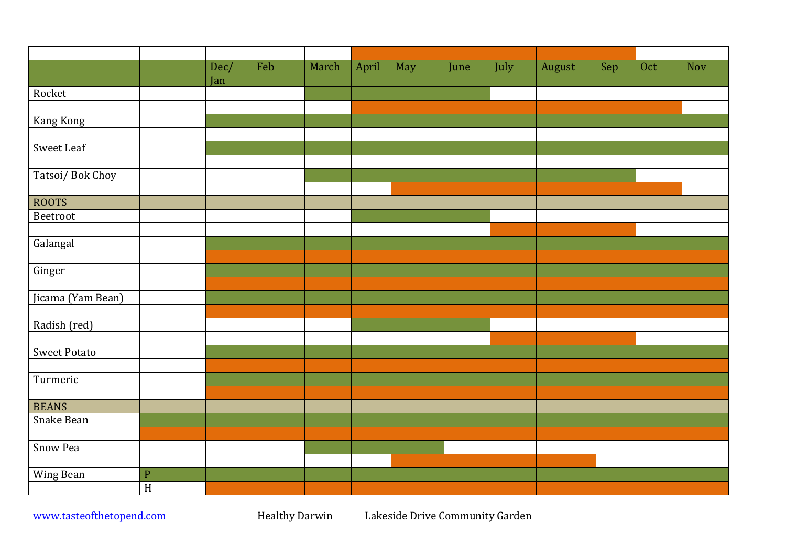|                     |              | Dec/<br>Jan | Feb | March | April | May | June | July | August | Sep | Oct | <b>Nov</b> |
|---------------------|--------------|-------------|-----|-------|-------|-----|------|------|--------|-----|-----|------------|
| Rocket              |              |             |     |       |       |     |      |      |        |     |     |            |
|                     |              |             |     |       |       |     |      |      |        |     |     |            |
| Kang Kong           |              |             |     |       |       |     |      |      |        |     |     |            |
|                     |              |             |     |       |       |     |      |      |        |     |     |            |
| Sweet Leaf          |              |             |     |       |       |     |      |      |        |     |     |            |
|                     |              |             |     |       |       |     |      |      |        |     |     |            |
| Tatsoi/Bok Choy     |              |             |     |       |       |     |      |      |        |     |     |            |
|                     |              |             |     |       |       |     |      |      |        |     |     |            |
| <b>ROOTS</b>        |              |             |     |       |       |     |      |      |        |     |     |            |
| Beetroot            |              |             |     |       |       |     |      |      |        |     |     |            |
|                     |              |             |     |       |       |     |      |      |        |     |     |            |
| Galangal            |              |             |     |       |       |     |      |      |        |     |     |            |
| Ginger              |              |             |     |       |       |     |      |      |        |     |     |            |
|                     |              |             |     |       |       |     |      |      |        |     |     |            |
| Jicama (Yam Bean)   |              |             |     |       |       |     |      |      |        |     |     |            |
|                     |              |             |     |       |       |     |      |      |        |     |     |            |
| Radish (red)        |              |             |     |       |       |     |      |      |        |     |     |            |
|                     |              |             |     |       |       |     |      |      |        |     |     |            |
| <b>Sweet Potato</b> |              |             |     |       |       |     |      |      |        |     |     |            |
|                     |              |             |     |       |       |     |      |      |        |     |     |            |
| Turmeric            |              |             |     |       |       |     |      |      |        |     |     |            |
|                     |              |             |     |       |       |     |      |      |        |     |     |            |
| <b>BEANS</b>        |              |             |     |       |       |     |      |      |        |     |     |            |
| Snake Bean          |              |             |     |       |       |     |      |      |        |     |     |            |
|                     |              |             |     |       |       |     |      |      |        |     |     |            |
| Snow Pea            |              |             |     |       |       |     |      |      |        |     |     |            |
|                     |              |             |     |       |       |     |      |      |        |     |     |            |
| Wing Bean           | $\mathbf{P}$ |             |     |       |       |     |      |      |        |     |     |            |
|                     | H            |             |     |       |       |     |      |      |        |     |     |            |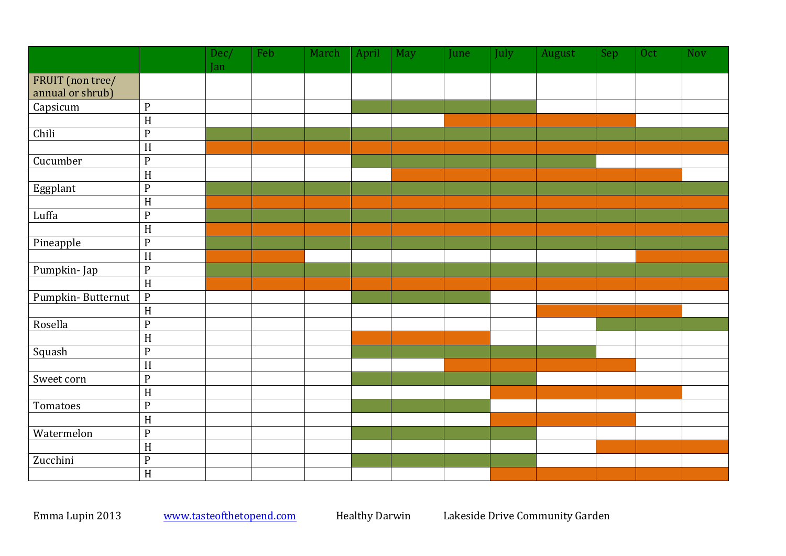|                                      |                           | Dec/ | Feb | March | April | May | <b>June</b> | July | August | Sep | Oct | <b>Nov</b> |
|--------------------------------------|---------------------------|------|-----|-------|-------|-----|-------------|------|--------|-----|-----|------------|
|                                      |                           | Jan  |     |       |       |     |             |      |        |     |     |            |
| FRUIT (non tree/<br>annual or shrub) |                           |      |     |       |       |     |             |      |        |     |     |            |
| Capsicum                             | ${\bf P}$                 |      |     |       |       |     |             |      |        |     |     |            |
|                                      | $\boldsymbol{\mathrm{H}}$ |      |     |       |       |     |             |      |        |     |     |            |
| Chili                                | ${\bf P}$                 |      |     |       |       |     |             |      |        |     |     |            |
|                                      | $\boldsymbol{\mathrm{H}}$ |      |     |       |       |     |             |      |        |     |     |            |
| Cucumber                             | ${\bf P}$                 |      |     |       |       |     |             |      |        |     |     |            |
|                                      | $\, {\rm H}$              |      |     |       |       |     |             |      |        |     |     |            |
| Eggplant                             | $\mathbf{P}$              |      |     |       |       |     |             |      |        |     |     |            |
|                                      | $\boldsymbol{\mathrm{H}}$ |      |     |       |       |     |             |      |        |     |     |            |
| Luffa                                | $\mathbf{P}$              |      |     |       |       |     |             |      |        |     |     |            |
|                                      | $\, {\rm H}$              |      |     |       |       |     |             |      |        |     |     |            |
| Pineapple                            | ${\bf P}$                 |      |     |       |       |     |             |      |        |     |     |            |
|                                      | $\boldsymbol{\mathrm{H}}$ |      |     |       |       |     |             |      |        |     |     |            |
| Pumpkin-Jap                          | ${\bf P}$                 |      |     |       |       |     |             |      |        |     |     |            |
|                                      | $\boldsymbol{\mathrm{H}}$ |      |     |       |       |     |             |      |        |     |     |            |
| Pumpkin-Butternut                    | $\overline{P}$            |      |     |       |       |     |             |      |        |     |     |            |
|                                      | $\, {\rm H}$              |      |     |       |       |     |             |      |        |     |     |            |
| Rosella                              | ${\bf P}$                 |      |     |       |       |     |             |      |        |     |     |            |
|                                      | $\boldsymbol{\mathrm{H}}$ |      |     |       |       |     |             |      |        |     |     |            |
| Squash                               | $\overline{P}$            |      |     |       |       |     |             |      |        |     |     |            |
|                                      | $\overline{H}$            |      |     |       |       |     |             |      |        |     |     |            |
| Sweet corn                           | $\mathbf{P}$              |      |     |       |       |     |             |      |        |     |     |            |
|                                      | $\, {\rm H}$              |      |     |       |       |     |             |      |        |     |     |            |
| Tomatoes                             | ${\bf P}$                 |      |     |       |       |     |             |      |        |     |     |            |
|                                      | $\boldsymbol{\mathrm{H}}$ |      |     |       |       |     |             |      |        |     |     |            |
| Watermelon                           | $\mathbf{P}$              |      |     |       |       |     |             |      |        |     |     |            |
|                                      | $\boldsymbol{\mathrm{H}}$ |      |     |       |       |     |             |      |        |     |     |            |
| Zucchini                             | $\overline{P}$            |      |     |       |       |     |             |      |        |     |     |            |
|                                      | $\overline{H}$            |      |     |       |       |     |             |      |        |     |     |            |